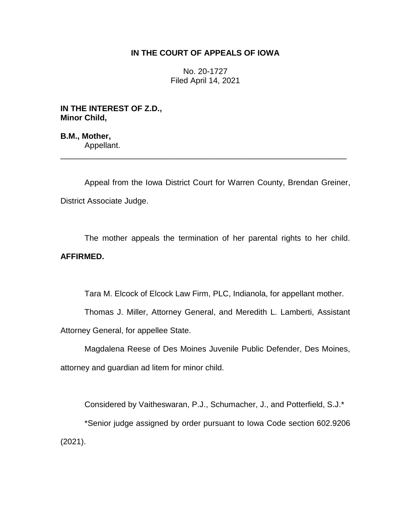### **IN THE COURT OF APPEALS OF IOWA**

No. 20-1727 Filed April 14, 2021

**IN THE INTEREST OF Z.D., Minor Child,**

**B.M., Mother,** Appellant.

Appeal from the Iowa District Court for Warren County, Brendan Greiner, District Associate Judge.

\_\_\_\_\_\_\_\_\_\_\_\_\_\_\_\_\_\_\_\_\_\_\_\_\_\_\_\_\_\_\_\_\_\_\_\_\_\_\_\_\_\_\_\_\_\_\_\_\_\_\_\_\_\_\_\_\_\_\_\_\_\_\_\_

The mother appeals the termination of her parental rights to her child. **AFFIRMED.**

Tara M. Elcock of Elcock Law Firm, PLC, Indianola, for appellant mother.

Thomas J. Miller, Attorney General, and Meredith L. Lamberti, Assistant Attorney General, for appellee State.

Magdalena Reese of Des Moines Juvenile Public Defender, Des Moines, attorney and guardian ad litem for minor child.

Considered by Vaitheswaran, P.J., Schumacher, J., and Potterfield, S.J.\* \*Senior judge assigned by order pursuant to Iowa Code section 602.9206 (2021).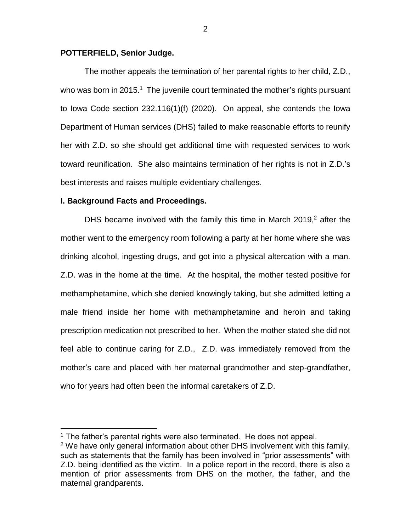#### **POTTERFIELD, Senior Judge.**

The mother appeals the termination of her parental rights to her child, Z.D., who was born in 2015.<sup>1</sup> The juvenile court terminated the mother's rights pursuant to Iowa Code section 232.116(1)(f) (2020). On appeal, she contends the Iowa Department of Human services (DHS) failed to make reasonable efforts to reunify her with Z.D. so she should get additional time with requested services to work toward reunification. She also maintains termination of her rights is not in Z.D.'s best interests and raises multiple evidentiary challenges.

#### **I. Background Facts and Proceedings.**

 $\overline{a}$ 

DHS became involved with the family this time in March  $2019<sub>1</sub><sup>2</sup>$  after the mother went to the emergency room following a party at her home where she was drinking alcohol, ingesting drugs, and got into a physical altercation with a man. Z.D. was in the home at the time. At the hospital, the mother tested positive for methamphetamine, which she denied knowingly taking, but she admitted letting a male friend inside her home with methamphetamine and heroin and taking prescription medication not prescribed to her. When the mother stated she did not feel able to continue caring for Z.D., Z.D. was immediately removed from the mother's care and placed with her maternal grandmother and step-grandfather, who for years had often been the informal caretakers of Z.D.

<sup>&</sup>lt;sup>1</sup> The father's parental rights were also terminated. He does not appeal.

<sup>&</sup>lt;sup>2</sup> We have only general information about other DHS involvement with this family, such as statements that the family has been involved in "prior assessments" with Z.D. being identified as the victim. In a police report in the record, there is also a mention of prior assessments from DHS on the mother, the father, and the maternal grandparents.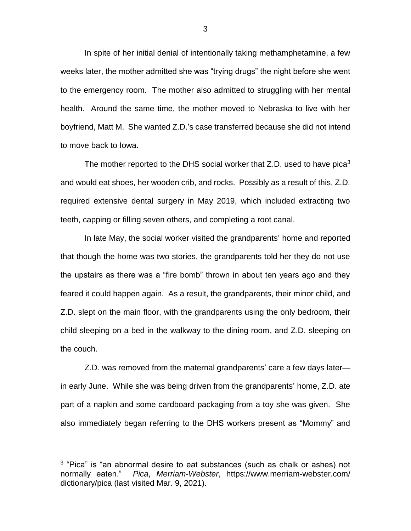In spite of her initial denial of intentionally taking methamphetamine, a few weeks later, the mother admitted she was "trying drugs" the night before she went to the emergency room. The mother also admitted to struggling with her mental health. Around the same time, the mother moved to Nebraska to live with her boyfriend, Matt M. She wanted Z.D.'s case transferred because she did not intend to move back to Iowa.

The mother reported to the DHS social worker that Z.D. used to have pica<sup>3</sup> and would eat shoes, her wooden crib, and rocks. Possibly as a result of this, Z.D. required extensive dental surgery in May 2019, which included extracting two teeth, capping or filling seven others, and completing a root canal.

In late May, the social worker visited the grandparents' home and reported that though the home was two stories, the grandparents told her they do not use the upstairs as there was a "fire bomb" thrown in about ten years ago and they feared it could happen again. As a result, the grandparents, their minor child, and Z.D. slept on the main floor, with the grandparents using the only bedroom, their child sleeping on a bed in the walkway to the dining room, and Z.D. sleeping on the couch.

Z.D. was removed from the maternal grandparents' care a few days later in early June. While she was being driven from the grandparents' home, Z.D. ate part of a napkin and some cardboard packaging from a toy she was given. She also immediately began referring to the DHS workers present as "Mommy" and

<sup>&</sup>lt;sup>3</sup> "Pica" is "an abnormal desire to eat substances (such as chalk or ashes) not normally eaten." *Pica*, *Merriam-Webster*, https://www.merriam-webster.com/ dictionary/pica (last visited Mar. 9, 2021).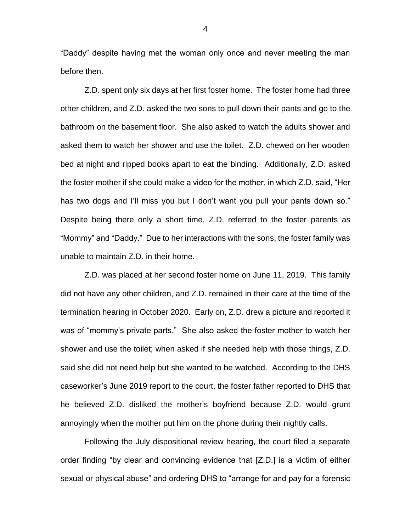"Daddy" despite having met the woman only once and never meeting the man before then.

Z.D. spent only six days at her first foster home. The foster home had three other children, and Z.D. asked the two sons to pull down their pants and go to the bathroom on the basement floor. She also asked to watch the adults shower and asked them to watch her shower and use the toilet. Z.D. chewed on her wooden bed at night and ripped books apart to eat the binding. Additionally, Z.D. asked the foster mother if she could make a video for the mother, in which Z.D. said, "Her has two dogs and I'll miss you but I don't want you pull your pants down so." Despite being there only a short time, Z.D. referred to the foster parents as "Mommy" and "Daddy." Due to her interactions with the sons, the foster family was unable to maintain Z.D. in their home.

Z.D. was placed at her second foster home on June 11, 2019. This family did not have any other children, and Z.D. remained in their care at the time of the termination hearing in October 2020. Early on, Z.D. drew a picture and reported it was of "mommy's private parts." She also asked the foster mother to watch her shower and use the toilet; when asked if she needed help with those things, Z.D. said she did not need help but she wanted to be watched. According to the DHS caseworker's June 2019 report to the court, the foster father reported to DHS that he believed Z.D. disliked the mother's boyfriend because Z.D. would grunt annoyingly when the mother put him on the phone during their nightly calls.

Following the July dispositional review hearing, the court filed a separate order finding "by clear and convincing evidence that [Z.D.] is a victim of either sexual or physical abuse" and ordering DHS to "arrange for and pay for a forensic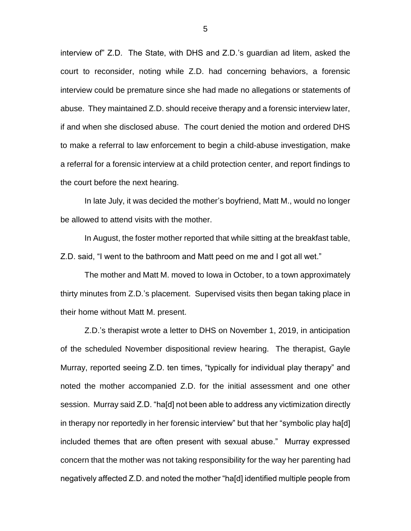interview of" Z.D. The State, with DHS and Z.D.'s guardian ad litem, asked the court to reconsider, noting while Z.D. had concerning behaviors, a forensic interview could be premature since she had made no allegations or statements of abuse. They maintained Z.D. should receive therapy and a forensic interview later, if and when she disclosed abuse. The court denied the motion and ordered DHS to make a referral to law enforcement to begin a child-abuse investigation, make a referral for a forensic interview at a child protection center, and report findings to the court before the next hearing.

In late July, it was decided the mother's boyfriend, Matt M., would no longer be allowed to attend visits with the mother.

In August, the foster mother reported that while sitting at the breakfast table, Z.D. said, "I went to the bathroom and Matt peed on me and I got all wet."

The mother and Matt M. moved to Iowa in October, to a town approximately thirty minutes from Z.D.'s placement. Supervised visits then began taking place in their home without Matt M. present.

Z.D.'s therapist wrote a letter to DHS on November 1, 2019, in anticipation of the scheduled November dispositional review hearing. The therapist, Gayle Murray, reported seeing Z.D. ten times, "typically for individual play therapy" and noted the mother accompanied Z.D. for the initial assessment and one other session. Murray said Z.D. "ha[d] not been able to address any victimization directly in therapy nor reportedly in her forensic interview" but that her "symbolic play ha[d] included themes that are often present with sexual abuse." Murray expressed concern that the mother was not taking responsibility for the way her parenting had negatively affected Z.D. and noted the mother "ha[d] identified multiple people from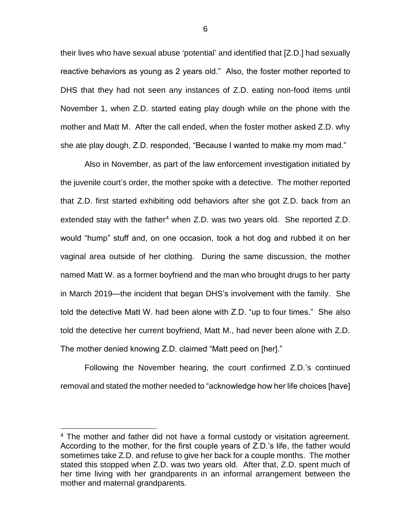their lives who have sexual abuse 'potential' and identified that [Z.D.] had sexually reactive behaviors as young as 2 years old." Also, the foster mother reported to DHS that they had not seen any instances of Z.D. eating non-food items until November 1, when Z.D. started eating play dough while on the phone with the mother and Matt M. After the call ended, when the foster mother asked Z.D. why she ate play dough, Z.D. responded, "Because I wanted to make my mom mad."

Also in November, as part of the law enforcement investigation initiated by the juvenile court's order, the mother spoke with a detective. The mother reported that Z.D. first started exhibiting odd behaviors after she got Z.D. back from an extended stay with the father<sup>4</sup> when Z.D. was two years old. She reported Z.D. would "hump" stuff and, on one occasion, took a hot dog and rubbed it on her vaginal area outside of her clothing. During the same discussion, the mother named Matt W. as a former boyfriend and the man who brought drugs to her party in March 2019—the incident that began DHS's involvement with the family. She told the detective Matt W. had been alone with Z.D. "up to four times." She also told the detective her current boyfriend, Matt M., had never been alone with Z.D. The mother denied knowing Z.D. claimed "Matt peed on [her]."

Following the November hearing, the court confirmed Z.D.'s continued removal and stated the mother needed to "acknowledge how her life choices [have]

<sup>&</sup>lt;sup>4</sup> The mother and father did not have a formal custody or visitation agreement. According to the mother, for the first couple years of Z.D.'s life, the father would sometimes take Z.D. and refuse to give her back for a couple months. The mother stated this stopped when Z.D. was two years old. After that, Z.D. spent much of her time living with her grandparents in an informal arrangement between the mother and maternal grandparents.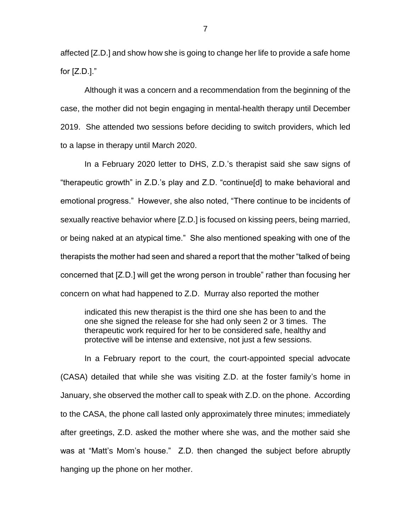affected [Z.D.] and show how she is going to change her life to provide a safe home for  $[Z.D.]$ ."

Although it was a concern and a recommendation from the beginning of the case, the mother did not begin engaging in mental-health therapy until December 2019. She attended two sessions before deciding to switch providers, which led to a lapse in therapy until March 2020.

In a February 2020 letter to DHS, Z.D.'s therapist said she saw signs of "therapeutic growth" in Z.D.'s play and Z.D. "continue[d] to make behavioral and emotional progress." However, she also noted, "There continue to be incidents of sexually reactive behavior where [Z.D.] is focused on kissing peers, being married, or being naked at an atypical time." She also mentioned speaking with one of the therapists the mother had seen and shared a report that the mother "talked of being concerned that [Z.D.] will get the wrong person in trouble" rather than focusing her concern on what had happened to Z.D. Murray also reported the mother

indicated this new therapist is the third one she has been to and the one she signed the release for she had only seen 2 or 3 times. The therapeutic work required for her to be considered safe, healthy and protective will be intense and extensive, not just a few sessions.

In a February report to the court, the court-appointed special advocate (CASA) detailed that while she was visiting Z.D. at the foster family's home in January, she observed the mother call to speak with Z.D. on the phone. According to the CASA, the phone call lasted only approximately three minutes; immediately after greetings, Z.D. asked the mother where she was, and the mother said she was at "Matt's Mom's house." Z.D. then changed the subject before abruptly hanging up the phone on her mother.

7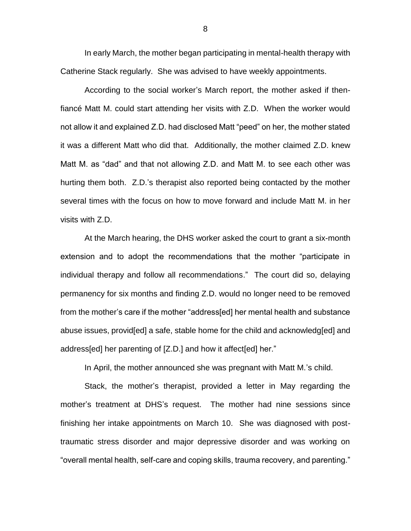In early March, the mother began participating in mental-health therapy with Catherine Stack regularly. She was advised to have weekly appointments.

According to the social worker's March report, the mother asked if thenfiancé Matt M. could start attending her visits with Z.D. When the worker would not allow it and explained Z.D. had disclosed Matt "peed" on her, the mother stated it was a different Matt who did that. Additionally, the mother claimed Z.D. knew Matt M. as "dad" and that not allowing Z.D. and Matt M. to see each other was hurting them both. Z.D.'s therapist also reported being contacted by the mother several times with the focus on how to move forward and include Matt M. in her visits with Z.D.

At the March hearing, the DHS worker asked the court to grant a six-month extension and to adopt the recommendations that the mother "participate in individual therapy and follow all recommendations." The court did so, delaying permanency for six months and finding Z.D. would no longer need to be removed from the mother's care if the mother "address[ed] her mental health and substance abuse issues, provid[ed] a safe, stable home for the child and acknowledg[ed] and address[ed] her parenting of [Z.D.] and how it affect[ed] her."

In April, the mother announced she was pregnant with Matt M.'s child.

Stack, the mother's therapist, provided a letter in May regarding the mother's treatment at DHS's request. The mother had nine sessions since finishing her intake appointments on March 10. She was diagnosed with posttraumatic stress disorder and major depressive disorder and was working on "overall mental health, self-care and coping skills, trauma recovery, and parenting."

8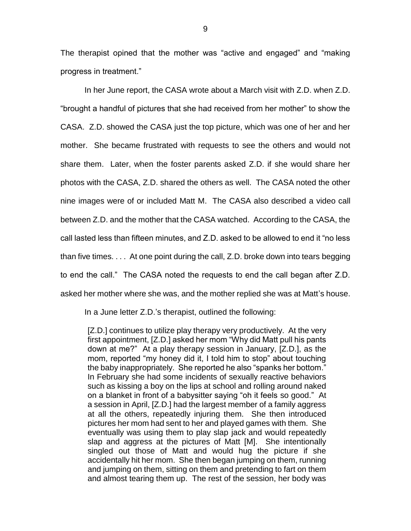The therapist opined that the mother was "active and engaged" and "making progress in treatment."

In her June report, the CASA wrote about a March visit with Z.D. when Z.D. "brought a handful of pictures that she had received from her mother" to show the CASA. Z.D. showed the CASA just the top picture, which was one of her and her mother. She became frustrated with requests to see the others and would not share them. Later, when the foster parents asked Z.D. if she would share her photos with the CASA, Z.D. shared the others as well. The CASA noted the other nine images were of or included Matt M. The CASA also described a video call between Z.D. and the mother that the CASA watched. According to the CASA, the call lasted less than fifteen minutes, and Z.D. asked to be allowed to end it "no less than five times. . . . At one point during the call, Z.D. broke down into tears begging to end the call." The CASA noted the requests to end the call began after Z.D. asked her mother where she was, and the mother replied she was at Matt's house.

In a June letter Z.D.'s therapist, outlined the following:

[Z.D.] continues to utilize play therapy very productively. At the very first appointment, [Z.D.] asked her mom "Why did Matt pull his pants down at me?" At a play therapy session in January, [Z.D.], as the mom, reported "my honey did it, I told him to stop" about touching the baby inappropriately. She reported he also "spanks her bottom." In February she had some incidents of sexually reactive behaviors such as kissing a boy on the lips at school and rolling around naked on a blanket in front of a babysitter saying "oh it feels so good." At a session in April, [Z.D.] had the largest member of a family aggress at all the others, repeatedly injuring them. She then introduced pictures her mom had sent to her and played games with them. She eventually was using them to play slap jack and would repeatedly slap and aggress at the pictures of Matt [M]. She intentionally singled out those of Matt and would hug the picture if she accidentally hit her mom. She then began jumping on them, running and jumping on them, sitting on them and pretending to fart on them and almost tearing them up. The rest of the session, her body was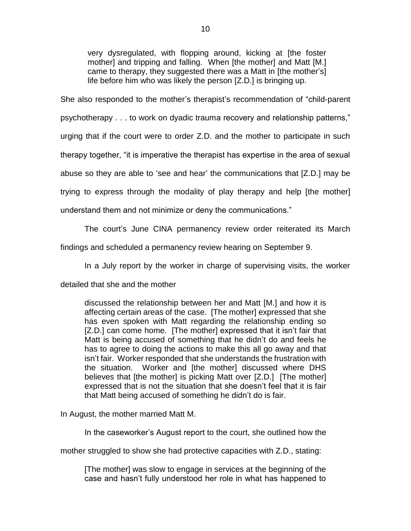very dysregulated, with flopping around, kicking at [the foster mother] and tripping and falling. When [the mother] and Matt [M.] came to therapy, they suggested there was a Matt in [the mother's] life before him who was likely the person [Z.D.] is bringing up.

She also responded to the mother's therapist's recommendation of "child-parent

psychotherapy . . . to work on dyadic trauma recovery and relationship patterns,"

urging that if the court were to order Z.D. and the mother to participate in such

therapy together, "it is imperative the therapist has expertise in the area of sexual

abuse so they are able to 'see and hear' the communications that [Z.D.] may be

trying to express through the modality of play therapy and help [the mother]

understand them and not minimize or deny the communications."

The court's June CINA permanency review order reiterated its March

findings and scheduled a permanency review hearing on September 9.

In a July report by the worker in charge of supervising visits, the worker

detailed that she and the mother

discussed the relationship between her and Matt [M.] and how it is affecting certain areas of the case. [The mother] expressed that she has even spoken with Matt regarding the relationship ending so [Z.D.] can come home. [The mother] expressed that it isn't fair that Matt is being accused of something that he didn't do and feels he has to agree to doing the actions to make this all go away and that isn't fair. Worker responded that she understands the frustration with the situation. Worker and [the mother] discussed where DHS believes that Ithe motherl is picking Matt over [Z.D.] [The mother] expressed that is not the situation that she doesn't feel that it is fair that Matt being accused of something he didn't do is fair.

In August, the mother married Matt M.

In the caseworker's August report to the court, she outlined how the

mother struggled to show she had protective capacities with Z.D., stating:

[The mother] was slow to engage in services at the beginning of the case and hasn't fully understood her role in what has happened to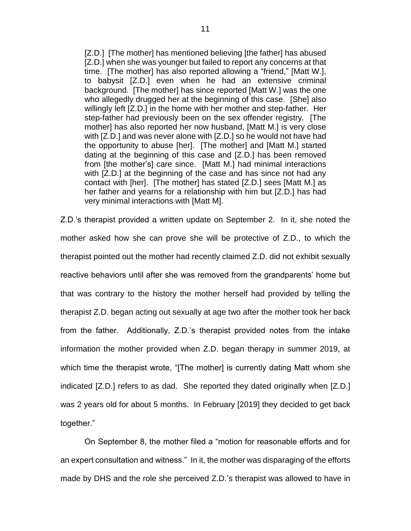[Z.D.] [The mother] has mentioned believing [the father] has abused [Z.D.] when she was younger but failed to report any concerns at that time. [The mother] has also reported allowing a "friend," [Matt W.], to babysit [Z.D.] even when he had an extensive criminal background. [The mother] has since reported [Matt W.] was the one who allegedly drugged her at the beginning of this case. [She] also willingly left [Z.D.] in the home with her mother and step-father. Her step-father had previously been on the sex offender registry. [The mother] has also reported her now husband, [Matt M.] is very close with [Z.D.] and was never alone with [Z.D.] so he would not have had the opportunity to abuse [her]. [The mother] and [Matt M.] started dating at the beginning of this case and [Z.D.] has been removed from [the mother's] care since. [Matt M.] had minimal interactions with [Z.D.] at the beginning of the case and has since not had any contact with [her]. [The mother] has stated [Z.D.] sees [Matt M.] as her father and yearns for a relationship with him but [Z.D.] has had very minimal interactions with [Matt M].

Z.D.'s therapist provided a written update on September 2. In it, she noted the mother asked how she can prove she will be protective of Z.D., to which the therapist pointed out the mother had recently claimed Z.D. did not exhibit sexually reactive behaviors until after she was removed from the grandparents' home but that was contrary to the history the mother herself had provided by telling the therapist Z.D. began acting out sexually at age two after the mother took her back from the father. Additionally, Z.D.'s therapist provided notes from the intake information the mother provided when Z.D. began therapy in summer 2019, at which time the therapist wrote, "[The mother] is currently dating Matt whom she indicated [Z.D.] refers to as dad. She reported they dated originally when [Z.D.] was 2 years old for about 5 months. In February [2019] they decided to get back together."

On September 8, the mother filed a "motion for reasonable efforts and for an expert consultation and witness." In it, the mother was disparaging of the efforts made by DHS and the role she perceived Z.D.'s therapist was allowed to have in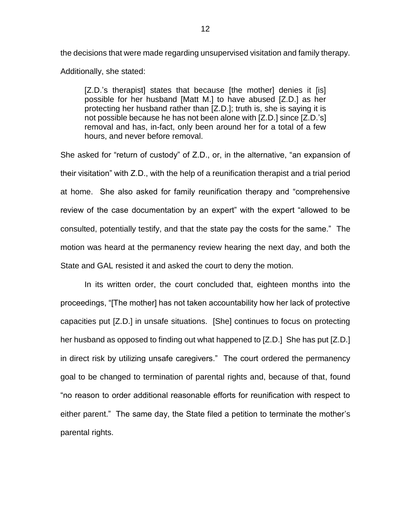the decisions that were made regarding unsupervised visitation and family therapy. Additionally, she stated:

[Z.D.'s therapist] states that because [the mother] denies it [is] possible for her husband [Matt M.] to have abused [Z.D.] as her protecting her husband rather than [Z.D.]; truth is, she is saying it is not possible because he has not been alone with [Z.D.] since [Z.D.'s] removal and has, in-fact, only been around her for a total of a few hours, and never before removal.

She asked for "return of custody" of Z.D., or, in the alternative, "an expansion of their visitation" with Z.D., with the help of a reunification therapist and a trial period at home. She also asked for family reunification therapy and "comprehensive review of the case documentation by an expert" with the expert "allowed to be consulted, potentially testify, and that the state pay the costs for the same." The motion was heard at the permanency review hearing the next day, and both the State and GAL resisted it and asked the court to deny the motion.

In its written order, the court concluded that, eighteen months into the proceedings, "[The mother] has not taken accountability how her lack of protective capacities put [Z.D.] in unsafe situations. [She] continues to focus on protecting her husband as opposed to finding out what happened to [Z.D.] She has put [Z.D.] in direct risk by utilizing unsafe caregivers." The court ordered the permanency goal to be changed to termination of parental rights and, because of that, found "no reason to order additional reasonable efforts for reunification with respect to either parent." The same day, the State filed a petition to terminate the mother's parental rights.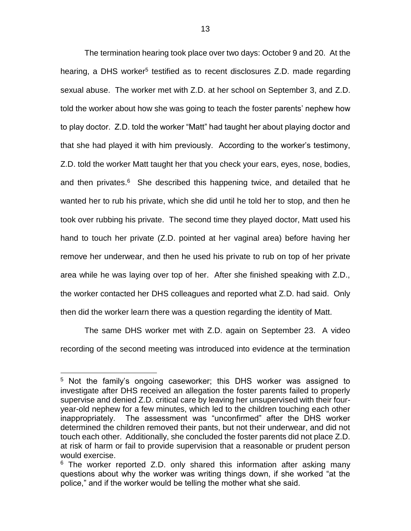The termination hearing took place over two days: October 9 and 20. At the hearing, a DHS worker<sup>5</sup> testified as to recent disclosures Z.D. made regarding sexual abuse. The worker met with Z.D. at her school on September 3, and Z.D. told the worker about how she was going to teach the foster parents' nephew how to play doctor. Z.D. told the worker "Matt" had taught her about playing doctor and that she had played it with him previously. According to the worker's testimony, Z.D. told the worker Matt taught her that you check your ears, eyes, nose, bodies, and then privates.<sup>6</sup> She described this happening twice, and detailed that he wanted her to rub his private, which she did until he told her to stop, and then he took over rubbing his private. The second time they played doctor, Matt used his hand to touch her private (Z.D. pointed at her vaginal area) before having her remove her underwear, and then he used his private to rub on top of her private area while he was laying over top of her. After she finished speaking with Z.D., the worker contacted her DHS colleagues and reported what Z.D. had said. Only then did the worker learn there was a question regarding the identity of Matt.

The same DHS worker met with Z.D. again on September 23. A video recording of the second meeting was introduced into evidence at the termination

<sup>&</sup>lt;sup>5</sup> Not the family's ongoing caseworker; this DHS worker was assigned to investigate after DHS received an allegation the foster parents failed to properly supervise and denied Z.D. critical care by leaving her unsupervised with their fouryear-old nephew for a few minutes, which led to the children touching each other inappropriately. The assessment was "unconfirmed" after the DHS worker determined the children removed their pants, but not their underwear, and did not touch each other. Additionally, she concluded the foster parents did not place Z.D. at risk of harm or fail to provide supervision that a reasonable or prudent person would exercise.

 $6$  The worker reported Z.D. only shared this information after asking many questions about why the worker was writing things down, if she worked "at the police," and if the worker would be telling the mother what she said.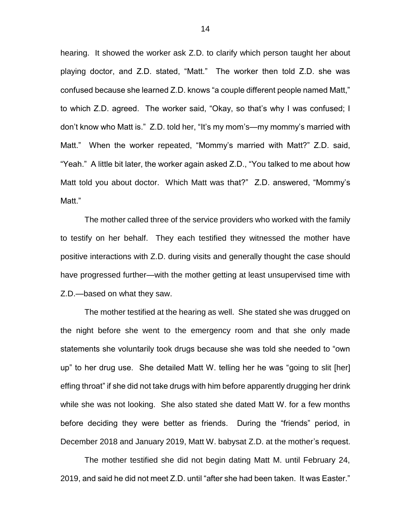hearing. It showed the worker ask Z.D. to clarify which person taught her about playing doctor, and Z.D. stated, "Matt." The worker then told Z.D. she was confused because she learned Z.D. knows "a couple different people named Matt," to which Z.D. agreed. The worker said, "Okay, so that's why I was confused; I don't know who Matt is." Z.D. told her, "It's my mom's—my mommy's married with Matt." When the worker repeated, "Mommy's married with Matt?" Z.D. said, "Yeah." A little bit later, the worker again asked Z.D., "You talked to me about how Matt told you about doctor. Which Matt was that?" Z.D. answered, "Mommy's Matt<sup>"</sup>

The mother called three of the service providers who worked with the family to testify on her behalf. They each testified they witnessed the mother have positive interactions with Z.D. during visits and generally thought the case should have progressed further—with the mother getting at least unsupervised time with Z.D.—based on what they saw.

The mother testified at the hearing as well. She stated she was drugged on the night before she went to the emergency room and that she only made statements she voluntarily took drugs because she was told she needed to "own up" to her drug use. She detailed Matt W. telling her he was "going to slit [her] effing throat" if she did not take drugs with him before apparently drugging her drink while she was not looking. She also stated she dated Matt W. for a few months before deciding they were better as friends. During the "friends" period, in December 2018 and January 2019, Matt W. babysat Z.D. at the mother's request.

The mother testified she did not begin dating Matt M. until February 24, 2019, and said he did not meet Z.D. until "after she had been taken. It was Easter."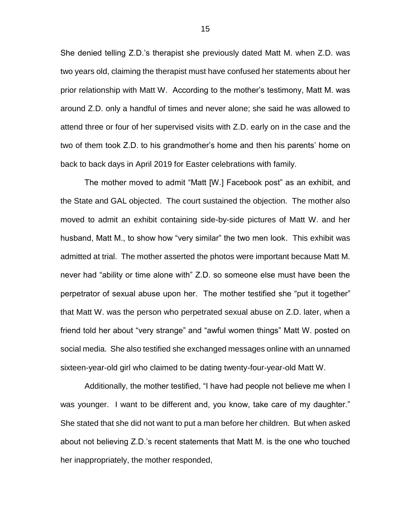She denied telling Z.D.'s therapist she previously dated Matt M. when Z.D. was two years old, claiming the therapist must have confused her statements about her prior relationship with Matt W. According to the mother's testimony, Matt M. was around Z.D. only a handful of times and never alone; she said he was allowed to attend three or four of her supervised visits with Z.D. early on in the case and the two of them took Z.D. to his grandmother's home and then his parents' home on back to back days in April 2019 for Easter celebrations with family.

The mother moved to admit "Matt [W.] Facebook post" as an exhibit, and the State and GAL objected. The court sustained the objection. The mother also moved to admit an exhibit containing side-by-side pictures of Matt W. and her husband, Matt M., to show how "very similar" the two men look. This exhibit was admitted at trial. The mother asserted the photos were important because Matt M. never had "ability or time alone with" Z.D. so someone else must have been the perpetrator of sexual abuse upon her. The mother testified she "put it together" that Matt W. was the person who perpetrated sexual abuse on Z.D. later, when a friend told her about "very strange" and "awful women things" Matt W. posted on social media. She also testified she exchanged messages online with an unnamed sixteen-year-old girl who claimed to be dating twenty-four-year-old Matt W.

Additionally, the mother testified, "I have had people not believe me when I was younger. I want to be different and, you know, take care of my daughter." She stated that she did not want to put a man before her children. But when asked about not believing Z.D.'s recent statements that Matt M. is the one who touched her inappropriately, the mother responded,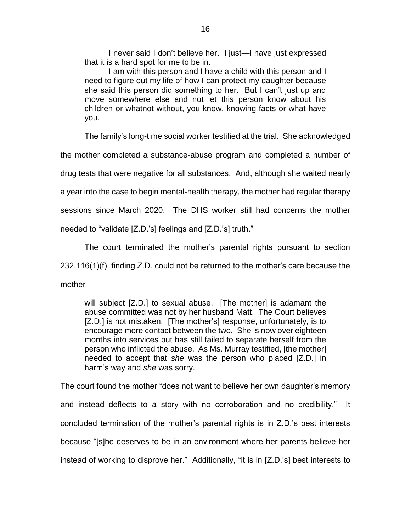I never said I don't believe her. I just—I have just expressed that it is a hard spot for me to be in.

I am with this person and I have a child with this person and I need to figure out my life of how I can protect my daughter because she said this person did something to her. But I can't just up and move somewhere else and not let this person know about his children or whatnot without, you know, knowing facts or what have you.

The family's long-time social worker testified at the trial. She acknowledged

the mother completed a substance-abuse program and completed a number of

drug tests that were negative for all substances. And, although she waited nearly

a year into the case to begin mental-health therapy, the mother had regular therapy

sessions since March 2020. The DHS worker still had concerns the mother

needed to "validate [Z.D.'s] feelings and [Z.D.'s] truth."

The court terminated the mother's parental rights pursuant to section 232.116(1)(f), finding Z.D. could not be returned to the mother's care because the mother

will subject [Z.D.] to sexual abuse. [The mother] is adamant the abuse committed was not by her husband Matt. The Court believes [Z.D.] is not mistaken. [The mother's] response, unfortunately, is to encourage more contact between the two. She is now over eighteen months into services but has still failed to separate herself from the person who inflicted the abuse. As Ms. Murray testified, [the mother] needed to accept that *she* was the person who placed [Z.D.] in harm's way and *she* was sorry.

The court found the mother "does not want to believe her own daughter's memory and instead deflects to a story with no corroboration and no credibility." It concluded termination of the mother's parental rights is in Z.D.'s best interests because "[s]he deserves to be in an environment where her parents believe her instead of working to disprove her." Additionally, "it is in [Z.D.'s] best interests to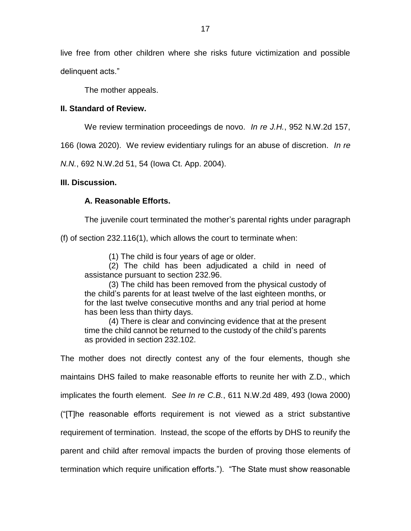live free from other children where she risks future victimization and possible delinquent acts."

The mother appeals.

## **II. Standard of Review.**

We review termination proceedings de novo. *In re J.H.*, 952 N.W.2d 157,

166 (Iowa 2020). We review evidentiary rulings for an abuse of discretion. *In re* 

*N.N.*, 692 N.W.2d 51, 54 (Iowa Ct. App. 2004).

# **III. Discussion.**

# **A. Reasonable Efforts.**

The juvenile court terminated the mother's parental rights under paragraph

(f) of section 232.116(1), which allows the court to terminate when:

(1) The child is four years of age or older.

(2) The child has been adjudicated a child in need of assistance pursuant to section 232.96.

(3) The child has been removed from the physical custody of the child's parents for at least twelve of the last eighteen months, or for the last twelve consecutive months and any trial period at home has been less than thirty days.

(4) There is clear and convincing evidence that at the present time the child cannot be returned to the custody of the child's parents as provided in section 232.102.

The mother does not directly contest any of the four elements, though she maintains DHS failed to make reasonable efforts to reunite her with Z.D., which implicates the fourth element. *See In re C.B.*, 611 N.W.2d 489, 493 (Iowa 2000) ("[T]he reasonable efforts requirement is not viewed as a strict substantive requirement of termination. Instead, the scope of the efforts by DHS to reunify the parent and child after removal impacts the burden of proving those elements of termination which require unification efforts."). "The State must show reasonable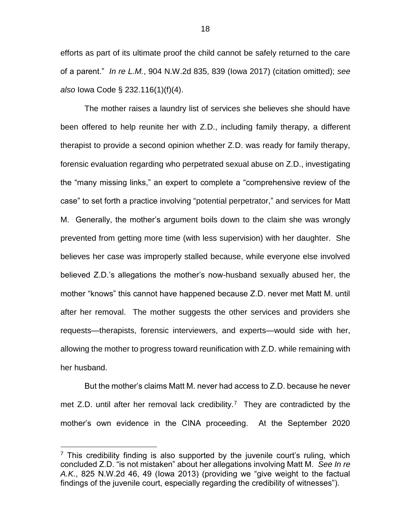efforts as part of its ultimate proof the child cannot be safely returned to the care of a parent." *In re L.M.*, 904 N.W.2d 835, 839 (Iowa 2017) (citation omitted); *see also* Iowa Code § 232.116(1)(f)(4).

The mother raises a laundry list of services she believes she should have been offered to help reunite her with Z.D., including family therapy, a different therapist to provide a second opinion whether Z.D. was ready for family therapy, forensic evaluation regarding who perpetrated sexual abuse on Z.D., investigating the "many missing links," an expert to complete a "comprehensive review of the case" to set forth a practice involving "potential perpetrator," and services for Matt M. Generally, the mother's argument boils down to the claim she was wrongly prevented from getting more time (with less supervision) with her daughter. She believes her case was improperly stalled because, while everyone else involved believed Z.D.'s allegations the mother's now-husband sexually abused her, the mother "knows" this cannot have happened because Z.D. never met Matt M. until after her removal. The mother suggests the other services and providers she requests—therapists, forensic interviewers, and experts—would side with her, allowing the mother to progress toward reunification with Z.D. while remaining with her husband.

But the mother's claims Matt M. never had access to Z.D. because he never met Z.D. until after her removal lack credibility.<sup>7</sup> They are contradicted by the mother's own evidence in the CINA proceeding. At the September 2020

 $7$  This credibility finding is also supported by the juvenile court's ruling, which concluded Z.D. "is not mistaken" about her allegations involving Matt M. *See In re A.K.*, 825 N.W.2d 46, 49 (Iowa 2013) (providing we "give weight to the factual findings of the juvenile court, especially regarding the credibility of witnesses").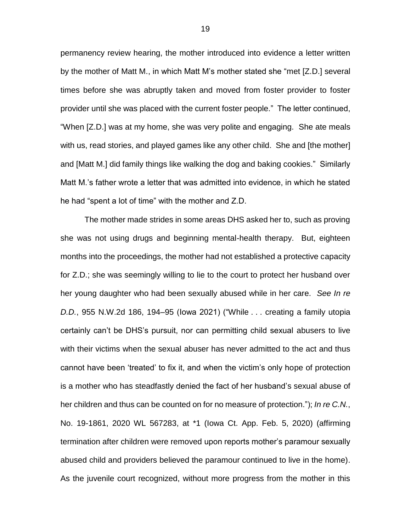permanency review hearing, the mother introduced into evidence a letter written by the mother of Matt M., in which Matt M's mother stated she "met [Z.D.] several times before she was abruptly taken and moved from foster provider to foster provider until she was placed with the current foster people." The letter continued, "When [Z.D.] was at my home, she was very polite and engaging. She ate meals with us, read stories, and played games like any other child. She and [the mother] and [Matt M.] did family things like walking the dog and baking cookies." Similarly Matt M.'s father wrote a letter that was admitted into evidence, in which he stated he had "spent a lot of time" with the mother and Z.D.

The mother made strides in some areas DHS asked her to, such as proving she was not using drugs and beginning mental-health therapy. But, eighteen months into the proceedings, the mother had not established a protective capacity for Z.D.; she was seemingly willing to lie to the court to protect her husband over her young daughter who had been sexually abused while in her care. *See In re D.D.*, 955 N.W.2d 186, 194–95 (Iowa 2021) ("While . . . creating a family utopia certainly can't be DHS's pursuit, nor can permitting child sexual abusers to live with their victims when the sexual abuser has never admitted to the act and thus cannot have been 'treated' to fix it, and when the victim's only hope of protection is a mother who has steadfastly denied the fact of her husband's sexual abuse of her children and thus can be counted on for no measure of protection."); *In re C.N.*, No. 19-1861, 2020 WL 567283, at \*1 (Iowa Ct. App. Feb. 5, 2020) (affirming termination after children were removed upon reports mother's paramour sexually abused child and providers believed the paramour continued to live in the home). As the juvenile court recognized, without more progress from the mother in this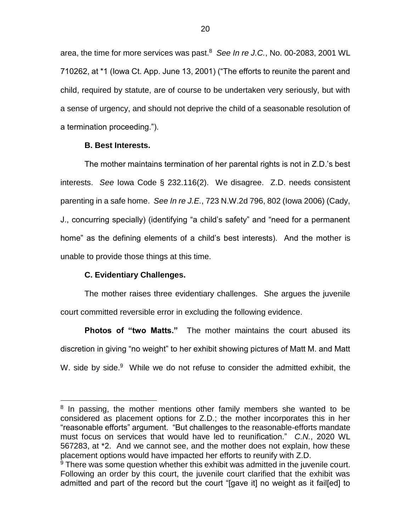area, the time for more services was past. 8 *See In re J.C.*, No. 00-2083, 2001 WL 710262, at \*1 (Iowa Ct. App. June 13, 2001) ("The efforts to reunite the parent and child, required by statute, are of course to be undertaken very seriously, but with a sense of urgency, and should not deprive the child of a seasonable resolution of a termination proceeding.").

### **B. Best Interests.**

The mother maintains termination of her parental rights is not in Z.D.'s best interests. *See* Iowa Code § 232.116(2). We disagree. Z.D. needs consistent parenting in a safe home. *See In re J.E.*, 723 N.W.2d 796, 802 (Iowa 2006) (Cady, J., concurring specially) (identifying "a child's safety" and "need for a permanent home" as the defining elements of a child's best interests). And the mother is unable to provide those things at this time.

## **C. Evidentiary Challenges.**

 $\overline{a}$ 

The mother raises three evidentiary challenges. She argues the juvenile court committed reversible error in excluding the following evidence.

**Photos of "two Matts."** The mother maintains the court abused its discretion in giving "no weight" to her exhibit showing pictures of Matt M. and Matt W. side by side.<sup>9</sup> While we do not refuse to consider the admitted exhibit, the

<sup>&</sup>lt;sup>8</sup> In passing, the mother mentions other family members she wanted to be considered as placement options for Z.D.; the mother incorporates this in her "reasonable efforts" argument. "But challenges to the reasonable-efforts mandate must focus on services that would have led to reunification." *C.N.*, 2020 WL 567283, at \*2. And we cannot see, and the mother does not explain, how these placement options would have impacted her efforts to reunify with Z.D.

 $9$  There was some question whether this exhibit was admitted in the juvenile court. Following an order by this court, the juvenile court clarified that the exhibit was admitted and part of the record but the court "[gave it] no weight as it fail[ed] to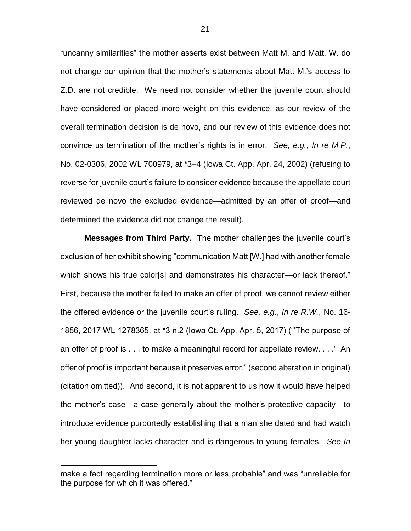"uncanny similarities" the mother asserts exist between Matt M. and Matt. W. do not change our opinion that the mother's statements about Matt M.'s access to Z.D. are not credible.We need not consider whether the juvenile court should have considered or placed more weight on this evidence, as our review of the overall termination decision is de novo, and our review of this evidence does not convince us termination of the mother's rights is in error. *See, e.g.*, *In re M.P.*, No. 02-0306, 2002 WL 700979, at \*3–4 (Iowa Ct. App. Apr. 24, 2002) (refusing to reverse for juvenile court's failure to consider evidence because the appellate court reviewed de novo the excluded evidence—admitted by an offer of proof—and determined the evidence did not change the result).

**Messages from Third Party.** The mother challenges the juvenile court's exclusion of her exhibit showing "communication Matt [W.] had with another female which shows his true color[s] and demonstrates his character—or lack thereof." First, because the mother failed to make an offer of proof, we cannot review either the offered evidence or the juvenile court's ruling. *See, e.g.*, *In re R.W.*, No. 16- 1856, 2017 WL 1278365, at \*3 n.2 (Iowa Ct. App. Apr. 5, 2017) ("'The purpose of an offer of proof is . . . to make a meaningful record for appellate review. . . .' An offer of proof is important because it preserves error." (second alteration in original) (citation omitted)). And second, it is not apparent to us how it would have helped the mother's case—a case generally about the mother's protective capacity—to introduce evidence purportedly establishing that a man she dated and had watch her young daughter lacks character and is dangerous to young females. *See In* 

make a fact regarding termination more or less probable" and was "unreliable for the purpose for which it was offered."